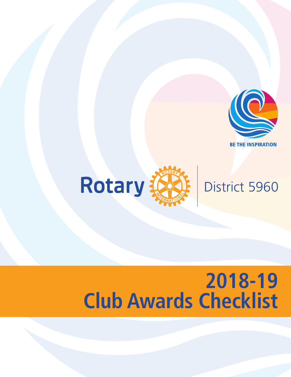



# **2018-19 Club Awards Checklist**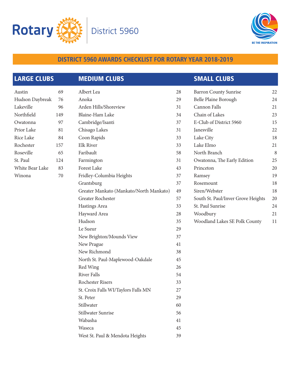



| <b>LARGE CLUBS</b> |     | <b>MEDIUM CLUBS</b>                     |    | <b>SMALL CLUBS</b>                 |    |
|--------------------|-----|-----------------------------------------|----|------------------------------------|----|
| Austin             | 69  | Albert Lea                              | 28 | <b>Barron County Sunrise</b>       | 22 |
| Hudson Daybreak    | 76  | Anoka                                   | 29 | Belle Plaine Borough               | 24 |
| Lakeville          | 96  | Arden Hills/Shoreview                   | 31 | Cannon Falls                       | 21 |
| Northfield         | 149 | Blaine-Ham Lake                         | 34 | Chain of Lakes                     | 23 |
| Owatonna           | 97  | Cambridge/Isanti                        | 37 | E-Club of District 5960            | 15 |
| Prior Lake         | 81  | Chisago Lakes                           | 31 | Janesville                         | 22 |
| Rice Lake          | 84  | Coon Rapids                             | 33 | Lake City                          | 18 |
| Rochester          | 157 | <b>Elk River</b>                        | 33 | Lake Elmo                          | 21 |
| Roseville          | 65  | Faribault                               | 58 | North Branch                       | 8  |
| St. Paul           | 124 | Farmington                              | 31 | Owatonna, The Early Edition        | 25 |
| White Bear Lake    | 83  | Forest Lake                             | 43 | Princeton                          | 20 |
| Winona             | 70  | Fridley-Columbia Heights                | 37 | Ramsey                             | 19 |
|                    |     | Grantsburg                              | 37 | Rosemount                          | 18 |
|                    |     | Greater Mankato (Mankato/North Mankato) | 49 | Siren/Webster                      | 18 |
|                    |     | Greater Rochester                       | 57 | South St. Paul/Inver Grove Heights | 20 |
|                    |     | Hastings Area                           | 33 | St. Paul Sunrise                   | 24 |
|                    |     | Hayward Area                            | 28 | Woodbury                           | 21 |
|                    |     | Hudson                                  | 35 | Woodland Lakes SE Polk County      | 11 |
|                    |     | Le Sueur                                | 29 |                                    |    |
|                    |     | New Brighton/Mounds View                | 37 |                                    |    |
|                    |     | New Prague                              | 41 |                                    |    |
|                    |     | New Richmond                            | 38 |                                    |    |
|                    |     | North St. Paul-Maplewood-Oakdale        | 45 |                                    |    |
|                    |     | Red Wing                                | 26 |                                    |    |
|                    |     | <b>River Falls</b>                      | 54 |                                    |    |
|                    |     | Rochester Risers                        | 33 |                                    |    |
|                    |     | St. Croix Falls WI/Taylors Falls MN     | 27 |                                    |    |
|                    |     | St. Peter                               | 29 |                                    |    |
|                    |     | Stillwater                              | 60 |                                    |    |
|                    |     | Stillwater Sunrise                      | 56 |                                    |    |
|                    |     | Wabasha                                 | 41 |                                    |    |
|                    |     | Waseca                                  | 45 |                                    |    |
|                    |     | West St. Paul & Mendota Heights         | 39 |                                    |    |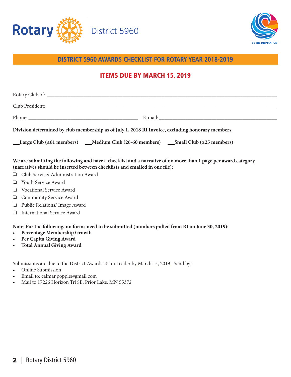



# ITEMS DUE BY MARCH 15, 2019

| Division determined by club membership as of July 1, 2018 RI Invoice, excluding honorary members. |  |
|---------------------------------------------------------------------------------------------------|--|
| Large Club (≥61 members) ____Medium Club (26-60 members) _____Small Club (≤25 members)            |  |

**We are submitting the following and have a checklist and a narrative of no more than 1 page per award category (narratives should be inserted between checklists and emailed in one file):**

- **Q** Club Service/ Administration Award
- $\Box$  Youth Service Award
- $\Box$  Vocational Service Award
- **Q** Community Service Award
- **D** Public Relations/ Image Award
- **I** International Service Award

**Note: For the following, no forms need to be submitted (numbers pulled from RI on June 30, 2019):**

- **Percentage Membership Growth**
- **Per Capita Giving Award**
- **Total Annual Giving Award**

Submissions are due to the District Awards Team Leader by March 15, 2019. Send by:

- Online Submission
- Email to: calmar.popple@gmail.com
- Mail to 17226 Horizon Trl SE, Prior Lake, MN 55372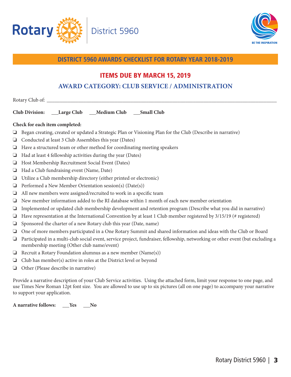



## ITEMS DUE BY MARCH 15, 2019

# **AWARD CATEGORY: CLUB SERVICE / ADMINISTRATION**

| __Large Club ___Medium Club ___Small Club<br><b>Club Division:</b>                                                                                                                |  |  |
|-----------------------------------------------------------------------------------------------------------------------------------------------------------------------------------|--|--|
| Check for each item completed:                                                                                                                                                    |  |  |
| Began creating, created or updated a Strategic Plan or Visioning Plan for the Club (Describe in narrative)                                                                        |  |  |
| Conducted at least 3 Club Assemblies this year (Dates)                                                                                                                            |  |  |
| Have a structured team or other method for coordinating meeting speakers<br>❏                                                                                                     |  |  |
| Had at least 4 fellowship activities during the year (Dates)<br>ч                                                                                                                 |  |  |
| Host Membership Recruitment Social Event (Dates)<br>ч                                                                                                                             |  |  |
| Had a Club fundraising event (Name, Date)                                                                                                                                         |  |  |
| Utilize a Club membership directory (either printed or electronic)<br>u                                                                                                           |  |  |
| Performed a New Member Orientation session(s) (Date(s))                                                                                                                           |  |  |
| All new members were assigned/recruited to work in a specific team<br>⊔                                                                                                           |  |  |
| New member information added to the RI database within 1 month of each new member orientation                                                                                     |  |  |
| Implemented or updated club membership development and retention program (Describe what you did in narrative)                                                                     |  |  |
| Have representation at the International Convention by at least 1 Club member registered by 3/15/19 (# registered)                                                                |  |  |
| Sponsored the charter of a new Rotary club this year (Date, name)                                                                                                                 |  |  |
| One of more members participated in a One Rotary Summit and shared information and ideas with the Club or Board                                                                   |  |  |
| Participated in a multi-club social event, service project, fundraiser, fellowship, networking or other event (but excluding a<br>❏<br>membership meeting (Other club name/event) |  |  |
| Recruit a Rotary Foundation alumnus as a new member (Name(s))                                                                                                                     |  |  |
| Club has member(s) active in roles at the District level or beyond                                                                                                                |  |  |
| Other (Please describe in narrative)                                                                                                                                              |  |  |
| Provide a narrative description of your Club Service activities. Using the attached form, limit your response to one page, and                                                    |  |  |

use Times New Roman 12pt font size. You are allowed to use up to six pictures (all on one page) to accompany your narrative to support your application.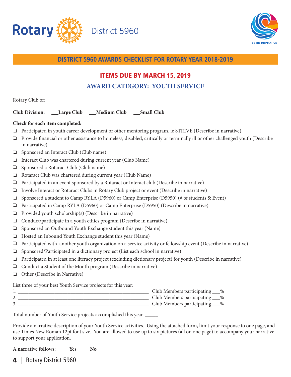



# ITEMS DUE BY MARCH 15, 2019 **AWARD CATEGORY: YOUTH SERVICE**

|        | Club Division: ___Large Club ___Medium Club ___Small Club                                                                                      |  |  |
|--------|------------------------------------------------------------------------------------------------------------------------------------------------|--|--|
|        | Check for each item completed:                                                                                                                 |  |  |
| ❏      | Participated in youth career development or other mentoring program, ie STRIVE (Describe in narrative)                                         |  |  |
| ❏      | Provide financial or other assistance to homeless, disabled, critically or terminally ill or other challenged youth (Describe<br>in narrative) |  |  |
| ❏      | Sponsored an Interact Club (Club name)                                                                                                         |  |  |
| $\Box$ | Interact Club was chartered during current year (Club Name)                                                                                    |  |  |
| ❏      | Sponsored a Rotaract Club (Club name)                                                                                                          |  |  |
| ❏      | Rotaract Club was chartered during current year (Club Name)                                                                                    |  |  |
| ❏      | Participated in an event sponsored by a Rotaract or Interact club (Describe in narrative)                                                      |  |  |
| ❏      | Involve Interact or Rotaract Clubs in Rotary Club project or event (Describe in narrative)                                                     |  |  |
| $\Box$ | Sponsored a student to Camp RYLA (D5960) or Camp Enterprise (D5950) (# of students & Event)                                                    |  |  |
| ❏      | Participated in Camp RYLA (D5960) or Camp Enterprise (D5950) (Describe in narrative)                                                           |  |  |
| ❏      | Provided youth scholarship(s) (Describe in narrative)                                                                                          |  |  |
| ⊔      | Conduct/participate in a youth ethics program (Describe in narrative)                                                                          |  |  |
| ❏      | Sponsored an Outbound Youth Exchange student this year (Name)                                                                                  |  |  |
| ❏      | Hosted an Inbound Youth Exchange student this year (Name)                                                                                      |  |  |
| ❏      | Participated with another youth organization on a service activity or fellowship event (Describe in narrative)                                 |  |  |
| $\Box$ | Sponsored/Participated in a dictionary project (List each school in narrative)                                                                 |  |  |
| ❏      | Participated in at least one literacy project (excluding dictionary project) for youth (Describe in narrative)                                 |  |  |
| ❏      | Conduct a Student of the Month program (Describe in narrative)                                                                                 |  |  |
| ❏      | Other (Describe in Narrative)                                                                                                                  |  |  |
|        | List three of your best Youth Service projects for this year:                                                                                  |  |  |
|        | Club Members participating ___%<br>Club Members participating ___%                                                                             |  |  |
|        | Club Members participating ___%                                                                                                                |  |  |
|        | Total number of Youth Service projects accomplished this year                                                                                  |  |  |

Provide a narrative description of your Youth Service activities. Using the attached form, limit your response to one page, and use Times New Roman 12pt font size. You are allowed to use up to six pictures (all on one page) to accompany your narrative to support your application.

**A narrative follows: Yes No**

4 | Rotary District 5960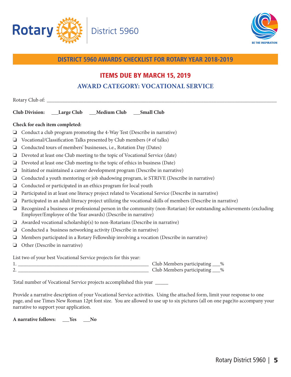



# ITEMS DUE BY MARCH 15, 2019 **AWARD CATEGORY: VOCATIONAL SERVICE**

|        | Club Division: ___Large Club ___Medium Club ___Small Club                                                                                                                             |  |
|--------|---------------------------------------------------------------------------------------------------------------------------------------------------------------------------------------|--|
|        | Check for each item completed:                                                                                                                                                        |  |
| ❏      | Conduct a club program promoting the 4-Way Test (Describe in narrative)                                                                                                               |  |
| ❏      | Vocational/Classification Talks presented by Club members (# of talks)                                                                                                                |  |
| ❏      | Conducted tours of members' businesses, i.e., Rotation Day (Dates)                                                                                                                    |  |
| ❏      | Devoted at least one Club meeting to the topic of Vocational Service (date)                                                                                                           |  |
| ❏      | Devoted at least one Club meeting to the topic of ethics in business (Date)                                                                                                           |  |
| ❏      | Initiated or maintained a career development program (Describe in narrative)                                                                                                          |  |
| ❏      | Conducted a youth mentoring or job shadowing program, ie STRIVE (Describe in narrative)                                                                                               |  |
| ❏      | Conducted or participated in an ethics program for local youth                                                                                                                        |  |
| ❏      | Participated in at least one literacy project related to Vocational Service (Describe in narrative)                                                                                   |  |
| $\Box$ | Participated in an adult literacy project utilizing the vocational skills of members (Describe in narrative)                                                                          |  |
| $\Box$ | Recognized a business or professional person in the community (non-Rotarian) for outstanding achievements (excluding<br>Employer/Employee of the Year awards) (Describe in narrative) |  |
| ❏      | Awarded vocational scholarship(s) to non-Rotarians (Describe in narrative)                                                                                                            |  |
| ❏      | Conducted a business networking activity (Describe in narrative)                                                                                                                      |  |
| ❏      | Members participated in a Rotary Fellowship involving a vocation (Describe in narrative)                                                                                              |  |
| ❏      | Other (Describe in narrative)                                                                                                                                                         |  |
|        | List two of your best Vocational Service projects for this year:                                                                                                                      |  |
|        | Club Members participating ___%                                                                                                                                                       |  |

Total number of Vocational Service projects accomplished this year \_\_\_\_\_

Provide a narrative description of your Vocational Service activities. Using the attached form, limit your response to one page, and use Times New Roman 12pt font size. You are allowed to use up to six pictures (all on one page)to accompany your narrative to support your application.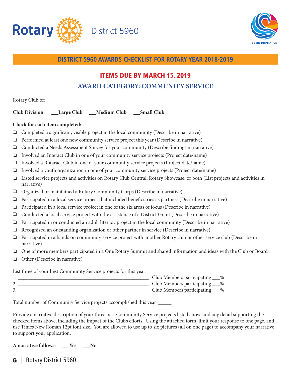



# ITEMS DUE BY MARCH 15, 2019 **AWARD CATEGORY: COMMUNITY SERVICE**

|        | Club Division: ___Large Club ___Medium Club ___Small Club                                                                              |  |
|--------|----------------------------------------------------------------------------------------------------------------------------------------|--|
|        | Check for each item completed:                                                                                                         |  |
| $\Box$ | Completed a significant, visible project in the local community (Describe in narrative)                                                |  |
| ❏      | Performed at least one new community service project this year (Describe in narrative)                                                 |  |
| ❏      | Conducted a Needs Assessment Survey for your community (Describe findings in narrative)                                                |  |
| $\Box$ | Involved an Interact Club in one of your community service projects (Project date/name)                                                |  |
| ❏      | Involved a Rotaract Club in one of your community service projects (Project date/name)                                                 |  |
| $\Box$ | Involved a youth organization in one of your community service projects (Project date/name)                                            |  |
| $\Box$ | Listed service projects and activities on Rotary Club Central, Rotary Showcase, or both (List projects and activities in<br>narrative) |  |
| $\Box$ | Organized or maintained a Rotary Community Corps (Describe in narrative)                                                               |  |
| ❏      | Participated in a local service project that included beneficiaries as partners (Describe in narrative)                                |  |
| ❏      | Participated in a local service project in one of the six areas of focus (Describe in narrative)                                       |  |
| ❏      | Conducted a local service project with the assistance of a District Grant (Describe in narrative)                                      |  |
| ❏      | Participated in or conducted an adult literacy project in the local community (Describe in narrative)                                  |  |
| $\Box$ | Recognized an outstanding organization or other partner in service (Describe in narrative)                                             |  |
| $\Box$ | Participated in a hands on community service project with another Rotary club or other service club (Describe in<br>narrative)         |  |
|        | One of more members participated in a One Rotary Summit and shared information and ideas with the Club or Board                        |  |
|        | $\Box$ Other (Describe in narrative)                                                                                                   |  |
|        | List three of your best Community Service projects for this year:                                                                      |  |
|        |                                                                                                                                        |  |
|        |                                                                                                                                        |  |
|        |                                                                                                                                        |  |

Total number of Community Service projects accomplished this year \_\_\_\_\_

Provide a narrative description of your three best Community Service projects listed above and any detail supporting the checked items above, including the impact of the Club's efforts. Using the attached form, limit your response to one page, and use Times New Roman 12pt font size. You are allowed to use up to six pictures (all on one page) to accompany your narrative to support your application.

A narrative follows: \_\_Yes \_\_No

**6** | Rotary District 5960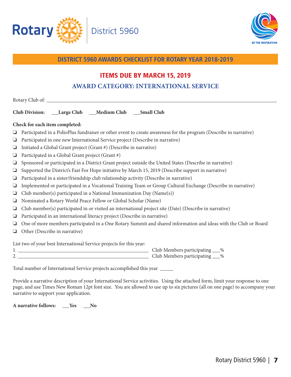



# ITEMS DUE BY MARCH 15, 2019 **AWARD CATEGORY: INTERNATIONAL SERVICE**

|        | Club Division: ___Large Club ___Medium Club ___Small Club                                                         |
|--------|-------------------------------------------------------------------------------------------------------------------|
|        | Check for each item completed:                                                                                    |
| ❏      | Participated in a PolioPlus fundraiser or other event to create awareness for the program (Describe in narrative) |
| ❏      | Participated in one new International Service project (Describe in narrative)                                     |
| ❏      | Initiated a Global Grant project (Grant #) (Describe in narrative)                                                |
| ❏      | Participated in a Global Grant project (Grant #)                                                                  |
| ❏      | Sponsored or participated in a District Grant project outside the United States (Describe in narrative)           |
| ❏      | Supported the District's Fast For Hope initiative by March 15, 2019 (Describe support in narrative)               |
| ❏      | Participated in a sister/friendship club relationship activity (Describe in narrative)                            |
| ❏      | Implemented or participated in a Vocational Training Team or Group Cultural Exchange (Describe in narrative)      |
| ❏      | Club member(s) participated in a National Immunization Day (Name(s))                                              |
| ❏      | Nominated a Rotary World Peace Fellow or Global Scholar (Name)                                                    |
| ❏      | Club member(s) participated in or visited an international project site (Date) (Describe in narrative)            |
| ❏      | Participated in an international literacy project (Describe in narrative)                                         |
| ❏      | One of more members participated in a One Rotary Summit and shared information and ideas with the Club or Board   |
| $\Box$ | Other (Describe in narrative)                                                                                     |
|        | List two of your best International Service projects for this year:                                               |
|        |                                                                                                                   |
|        | Club Members participating ___%                                                                                   |
|        | Total number of International Service projects accomplished this year _____                                       |

Provide a narrative description of your International Service activities. Using the attached form, limit your response to one page, and use Times New Roman 12pt font size. You are allowed to use up to six pictures (all on one page) to accompany your narrative to support your application.